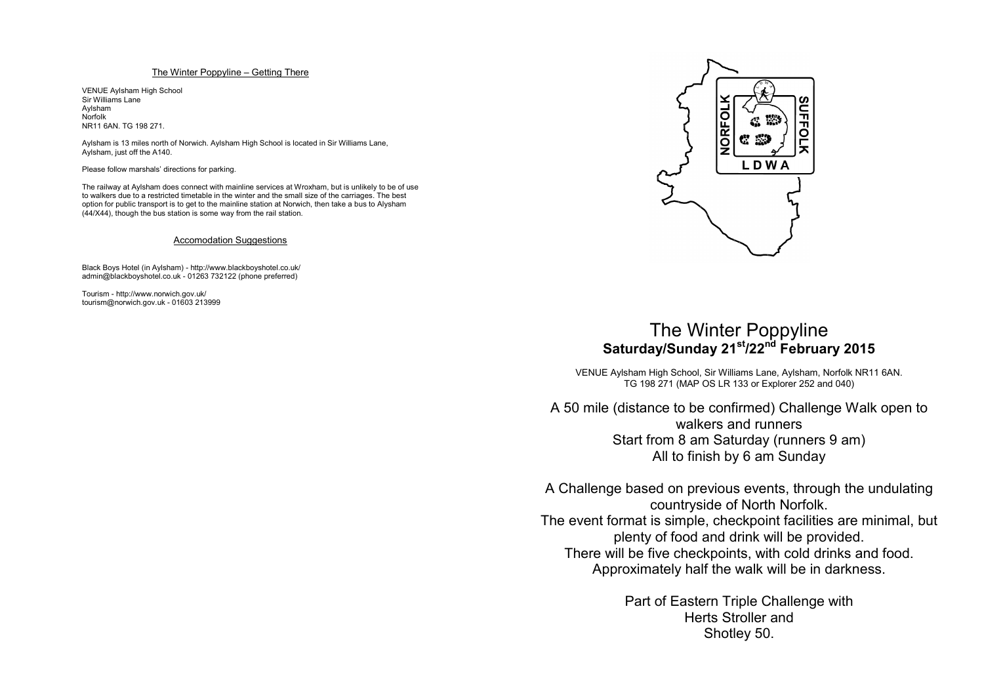## The Winter Poppyline – Getting There

VENUE Aylsham High School Sir Williams LaneAylsham NorfolkNR11 6AN. TG 198 271.

Aylsham is 13 miles north of Norwich. Aylsham High School is located in Sir Williams Lane, Aylsham, just off the A140.

Please follow marshals' directions for parking.

The railway at Aylsham does connect with mainline services at Wroxham, but is unlikely to be of use to walkers due to <sup>a</sup> restricted timetable in the winter and the small size of the carriages. The best option for public transport is to get to the mainline station at Norwich, then take <sup>a</sup> bus to Alysham (44/X44), though the bus station is some way from the rail station.

## Accomodation Suggestions

Black Boys Hotel (in Aylsham) - http://www.blackboyshotel.co.uk/ admin@blackboyshotel.co.uk - 01263 732122 (phone preferred)

Tourism - http://www.norwich.gov.uk/ tourism@norwich.gov.uk - 01603 213999



## The Winter Poppyline **Saturday/Sunday <sup>21</sup>st/22nd February <sup>2015</sup>**

VENUE Aylsham High School, Sir Williams Lane, Aylsham, Norfolk NR11 6AN. TG 198 271 (MAP OS LR 133 or Explorer 252 and 040)

A 50 mile (distance to be confirmed) Challenge Walk open to walkers and runners Start from 8 am Saturday (runners 9 am) All to finish by 6 am Sunday

A Challenge based on previous events, through the undulating countryside of North Norfolk. The event format is simple, checkpoint facilities are minimal, but plenty of food and drink will be provided. There will be five checkpoints, with cold drinks and food. Approximately half the walk will be in darkness.

> Part of Eastern Triple Challenge with Herts Stroller andShotley 50.